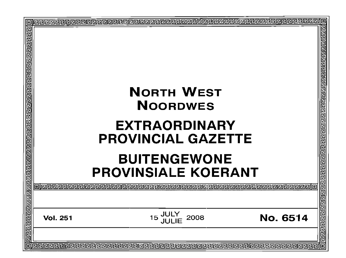| <u> ब्रियर विद्यारावाचाचा ब्रियरावाचाचाचा ब्रायरावाचाचा ब्रावाचा ब्रावाचा ब्रावाचा ब्रावाचा ब्रावाचा ब्रावाचा</u> |                                                                   | 린틴린리리리리리리리리티리티[리리리 |
|-------------------------------------------------------------------------------------------------------------------|-------------------------------------------------------------------|--------------------|
|                                                                                                                   | <b>NORTH WEST</b><br><b>NOORDWES</b>                              |                    |
|                                                                                                                   | <b>EXTRAORDINARY</b><br><b>PROVINCIAL GAZETTE</b>                 |                    |
|                                                                                                                   | <b>BUITENGEWONE</b><br><b>PROVINSIALE KOERANT</b>                 |                    |
|                                                                                                                   |                                                                   | <u>रावाचाच</u>     |
|                                                                                                                   | JULY<br>JULIE<br>15<br><b>No. 6514</b><br>2008<br><b>Vol. 251</b> | 包包包包包              |
|                                                                                                                   |                                                                   |                    |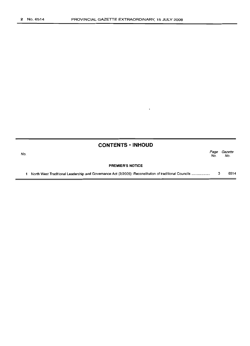| <b>CONTENTS • INHOUD</b> |  |
|--------------------------|--|
|--------------------------|--|

 $\mathbf{r}$ 

| No. |                                                                                                       | Page<br>No. | Gazette<br>No. |
|-----|-------------------------------------------------------------------------------------------------------|-------------|----------------|
|     | <b>PREMIER'S NOTICE</b>                                                                               |             |                |
|     | North West Traditional Leadership and Governance Act (2/2005): Reconstitution of traditional Councils |             | 6514           |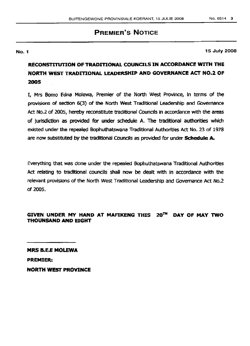# **PREMIER'S NOTICE**

#### No.1

15 July 2008

# RECONSTITUTION OF TRADITIONAL COUNCILS IN ACCORDANCE WITH THE "NORTH WEST TRADITIONAL LEADERSHIP AND GOVERNANCE ACT NO.2 OF 2005

I, Mrs Bomo Edna Molewa, Premier of the North west Province, In terms of the provisions of sectlon 6(3) of the North West Traditional Leadership and Governance Act No.2 of 2005, hereby reconstitute traditional Councils in accordance with the areas of jurisdiction as provided for under schedule A. The traditional authorities which existed under the repealed Bophuthatswana Traditional Authorities Act No. 23 of 1978 are now substituted by the traditional Councils as provided for under Schedule A.

Everything that was done under the repealed Bophuthatswana Traditional Authorities Act relating to traditional councils shall now be dealt with in accordance with the relevant provisions of the North West Traditional Leadership and Governance Act No.2 of 2005.

#### GIVEN UNDER MY HAND AT MAFIKENG THIS 20<sup>TH</sup> DAY OF MAY TWO THOUNSAND AND EIGHT

MRS B.E.E MOLEWA PREMIER: NORTH WEST PROVINCE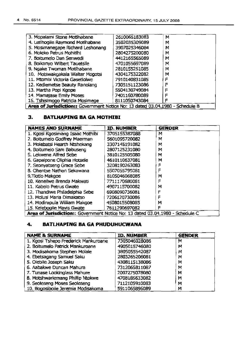| 3. Mopalami Stone Motthabane                                                  | 2610065183083 | М |  |
|-------------------------------------------------------------------------------|---------------|---|--|
| 4. Letihoqile Raymond Motihabane                                              | 3502035309089 | м |  |
| 5. Mosimanegape Richard Leshonang                                             | 3907025346084 | М |  |
| 6. Moleko Petrus Mohitihi                                                     | 2804275200080 | м |  |
| 7. Boitumelo Dan Senwedi                                                      | 4412165565089 | м |  |
| 8. Boikanyo Wilbert Tauetsile                                                 | 4701055697089 | м |  |
| 9. Ngake Twoman Motihabane                                                    | 2810155251085 | м |  |
| 10. Motswakgakala Walter Mogotsi                                              | 4304175322082 | М |  |
| 11. Mtombi Victoria Gasetlolwe                                                | 7910140831085 | F |  |
| 12. Kediemetse Beauty Ranolang                                                | 7305151123086 | F |  |
| 13. Martha Popi Kgope                                                         | 5504130749084 | F |  |
| 14. Mamajase Emily Moses                                                      | 7401160780089 | F |  |
| 15. Tshisimogo Patricia Mosimege                                              | 8111050743084 |   |  |
| Area of Jurisdiction:: Government Notice No: 13 dated 03.04.1980 - Schedule B |               |   |  |

#### **3. BATLHAPING SA GA MOTHISI**

| <b>NAMES AND SURNAME</b>                                                      | <b>ID. NUMBER</b> | <b>GENDER</b> |  |
|-------------------------------------------------------------------------------|-------------------|---------------|--|
| 1. Kgosi Kgosimang Isaac Mothibi                                              | 3705155387088     | м             |  |
| 2. Boitumelo Godfrey Maerman                                                  | 5601095720082     | м             |  |
| 3. Molebatsi Hearth Ntshekang                                                 | 3307145191082     | М             |  |
| 4. Boitumelo Sam Babuseng                                                     | 2807125231080     | м             |  |
| 5. Lekwene Alfred Sebe                                                        | 3810125505080     | м             |  |
| 6. Gapaipone Oliphia Hotsele                                                  | 4610110637081     | м             |  |
| 7. Seonyatseng Grace Sebe                                                     | 3208190263083     | F             |  |
| 8. Ohentse Nathan Sekawana                                                    | 5507055795081     | F             |  |
| 9. Tlotlo Makgoe                                                              | 8105046068085     | м             |  |
| 10. Keneilwe Brenda Makwati                                                   | 7711170680081     | F             |  |
| 11. Kabelo Petrus Gwate                                                       | 4907115700082     | м             |  |
| 12. Thandiwe Philadelphia Sebe                                                | 6908090736081     | F             |  |
| 13. Molusi Maria Dimakatso                                                    | 7206120730086     | F             |  |
| 14. Modirapula William Makgoe                                                 | 4508015508085     | м             |  |
| 15. Kelebogile Mavis Gwate                                                    | 7611290697082     | F             |  |
| Area of Jurisdiction:: Government Notice No: 13 dated 03.04.1980 - Schedule C |                   |               |  |

#### **4. BATLHAPING BA GA PHUDUHUCWANA**

| <b>NAME &amp; SURNAME</b>            | <b>ID. NUMBER</b> | <b>GENDER</b> |
|--------------------------------------|-------------------|---------------|
| 1. Kgosi Tshepo Frederick Mankuroane | 7305046028086     | М             |
| 2. Boitumelo Patrick Mankuroane      | 4905015746080     | м             |
| 3. Modisakoma Stephen Molale         | 3805055542087     | м             |
| 4. Ebetsagang Samuel Saku            | 2803265206081     | M             |
| 5. Olebile Joseph Saku               | 4308115138086     | М             |
| 6. Aabakwe Duncan Mahura             | 7312065811087     | M             |
| 7. Tunase Lookinglass Mahure         | 2007275078080     | м             |
| 8. Motshwariemang Phillip Ntokwe     | 4708185633082     | м             |
| 9. Seoteseng Moses Seoteseng         | 7112105910083     | М             |
| 10. Bogosibolle Jeremia Modisakoma   | 5911065896089     | М             |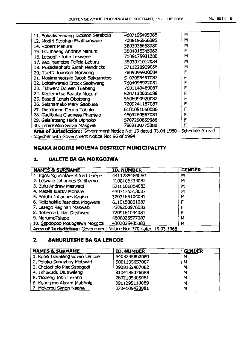| 11. Bokailweemang Jackson Serebolo | 4607195495088 | M   |
|------------------------------------|---------------|-----|
| 12. Modiri Stephen Phatihanyane    | 7006156566085 | М   |
| 14. Robert Mahura                  | 3803035668080 | M   |
| 15. Ikotihaeng Andrew Mahura       | 3804015545082 | ᄐ   |
| 16. Letsogile John Lekwene         | 7109175931080 | M   |
| 17. Kediinametse Felicia Leburu    | 5803071012084 | M   |
|                                    |               | . . |

| 16. Letsogile John Lekwene                                                         | 7109175931080 | м |  |
|------------------------------------------------------------------------------------|---------------|---|--|
| 17. Kediinametse Felicia Leburu                                                    | 5803071012084 | M |  |
| 18. Mosadiaphefo Sarah Hendricks                                                   | 5711220909086 | м |  |
| 20. Tsietsi Johnson Morweng                                                        | 7809095930084 | F |  |
| 21. Mosimaneotsile Jacob Sekganetso                                                | 5107055457087 | F |  |
| 22. Boitshwarelo Enock Seokwang                                                    | 7604095972081 |   |  |
| 23. Tshward Doreen Tuabeng                                                         | 7601140489087 | F |  |
| 24. Kediemetse Beauty Mocumi                                                       | 5207130605088 |   |  |
| 25. Basadi Lenah Obotseng                                                          | 5606090920082 |   |  |
| 26. Setshameko Mary Gaobuse                                                        | 7209241187087 |   |  |
| 27. Diepabeng Cecilia Tobolo                                                       | 6101051050086 |   |  |
| 28. Gadibolae Gladness Phemelo                                                     | 4603260567083 |   |  |
| 29. Galaletsang Hilda Diphoko                                                      | 5707290859086 |   |  |
| 30. Tshireletso Sylvia Makgwe                                                      | 7909130775088 | ᄐ |  |
| Area of Jurisdiction:: Government Notice No: 13 dated 03.04.1980 - Schedule A read |               |   |  |
| together with Government Notice No: 56 of 1994                                     |               |   |  |

#### NGAKA MODIRI MOLEMA DISTRICT MUNICIPALITY

#### 1. BALETE BA GA MOKGOJWA

| <b>NAMES &amp; SURNAME</b>                                       | <b>ID. NUMBER</b> | <b>GENDER</b> |  |
|------------------------------------------------------------------|-------------------|---------------|--|
| 1. Kgosi Kgosinkwe Alfred Tsiepe                                 | 4411285484080     | м             |  |
| 2. Leswalo Johannes Seitihamo                                    | 4108105534082     | м             |  |
| 3. Zulu Andrew Maswabi                                           | 5210106054083     | M             |  |
| 4. Matala Blacky Monare                                          | 4303135513087     | м             |  |
| 5. Setutu Johannes Kagiso                                        | 3203165104081     | M             |  |
| 6. Keitshokile Jeanette Mogwera                                  | 6110150861087     | F             |  |
| 7. Lesego Reginah Maswabi                                        | 7308200976082     | F             |  |
| 8. Rebecca Lillian Ditshweu                                      | 7209161094081     |               |  |
| 9. MarumoTsiepe                                                  | 4608025577087     | м             |  |
| 10. Sepoopoo Motlogelwa Mokgosi                                  | 4302025485083     | м             |  |
| Area of Jurisdiction: Government Notice No: 370 dated 15.03.1968 |                   |               |  |

## 2. BAHURUTSHE SA GA LENCOE

| <b>NAMES &amp; SURNAME</b>      | <b>ID. NUMBER</b> | <b>GENDER</b> |
|---------------------------------|-------------------|---------------|
| 1. Kgosi Ikalafeng Edwin Lencoe | 5403235802080     | м             |
| 2. Poloko Sonnyboy Motswiri     | 5001105657087     | м             |
| 3. Cholocholo Piet Sebogodi     | 3908165407082     | м             |
| 4. Tshukudu Diutiwileng         | 3104135076088     | M             |
| 5. Tiotleng John Lekaba         | 2602105305081     | M             |
| 6. Kgaogano Abram Matihola      | 3911295110089     | M             |
| 7. Mokereu Simon Naane          | 3704105420081     | M             |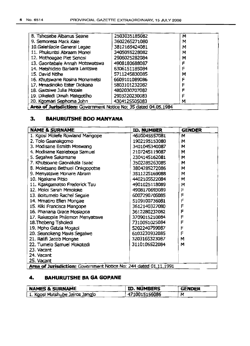| 8. Tshesebe Albanus Seane                                       | 2503035185082 | м |
|-----------------------------------------------------------------|---------------|---|
| 9. Semoresa Mack Kale                                           | 3602265271080 | M |
| 10.Galehlaole General Legae                                     | 3812165424081 | м |
| 11. Phukuntsi Abraam Monei                                      | 3405055228082 | M |
| 12. Mothoagae Piet Senosi                                       | 2906025282084 | м |
| 13. Gaontebale Annah Motswatswa                                 | 4908180688087 |   |
| 14. Matshidiso Barbara Lentswe                                  | 6306151185084 | F |
| 15. David Ntihe                                                 | 5711245830085 | M |
| 16. Khutswane Rosina Monametsi                                  | 6609101089086 | c |
| 17. Mmadinoko Ester Diokana                                     | 5803101232082 |   |
| 18. Gaitsiwe Julia Motale                                       | 4802030707082 |   |
| 19. Dikeledi Dinah Makgotlho                                    | 2903220230083 |   |
| 20. Kgomari Sephoma John                                        | 4304125505083 | M |
| Area of Jurisdiction: Government Notice No: 35 dated 04.05.1984 |               |   |

## 3. BAHURUTSHE BOO MANYANA

| <b>NAME &amp; SURNAME</b>                                        | <b>ID. NUMBER</b> | <b>GENDER</b> |  |
|------------------------------------------------------------------|-------------------|---------------|--|
| 1. Kgosi Molefe Rowland Mangope                                  | 4610045557081     | м             |  |
| 2. Tolo Gaanakgomo                                               | 1902195153080     | м             |  |
| 3. Modisane Esmith Moswang                                       | 3401045340087     | M             |  |
| 4. Modisane Kealeboga Samuel                                     | 2107245119087     | М             |  |
| 5. Segalwe Sakamane                                              | 2304145162081     | M             |  |
| 7. Khutsoane Gaonakala Isaac                                     | 3502285263085     | M             |  |
| 8. Moletsane Bethuel Onkgopotse                                  | 3804285272086     | M             |  |
| 9. Menyatswe Monare Abram                                        | 3511225169088     | м             |  |
| 10. Ngakane Pitso                                                | 4402105522084     | м             |  |
| 11. Kgakgamatso Frederick Tau                                    | 4901025118089     | M             |  |
| 12. Moloi Sarah Mmoloke                                          | 4908170693089     | F             |  |
| 13. Boitumelo Rachel Segale                                      | 6007290705085     | F             |  |
| 14. Mmatiro Ellen Mongae                                         | 5109100736081     | Ē             |  |
| 15. Kiki Francisca Mangope                                       | 3612140327080     | F             |  |
| 16. Phanana Grace Mosiapoa                                       | 3612280232082     | F             |  |
| 17. Rakeopile Philemon Menyatswe                                 | 3709015210084     | F             |  |
| 18. The beng Tsholedi                                            | 7310051025084     | F             |  |
| 19. Mpho Getzia Mogapi                                           | 5202240799087     | F             |  |
| 20. Seanokeng Mavis Segalwe                                      | 6103230932085     | F             |  |
| 21. Ralifi Jacob Mongae                                          | 3203165323087     | М             |  |
| 22. Tumelo Samuel Mokotedi                                       | 3110105522084     | M             |  |
| 23. Vacant                                                       |                   |               |  |
| 24. Vacant                                                       |                   |               |  |
| 25. Vacant                                                       |                   |               |  |
| Area of Jurisdiction: Government Notice No: 244 dated 01.11.1991 |                   |               |  |
|                                                                  |                   |               |  |

## 4. BAHURUTSHE BA GA GOPANE

| <b>NAMES &amp; SURNAME</b>      | ID. NUMBERS   | <b>GENDER</b> |
|---------------------------------|---------------|---------------|
| 1. Kgosi Matshube Jairos Jangjo | 4710015156086 | M             |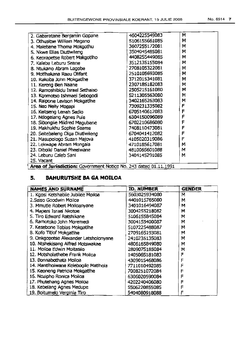| 4604225549083 | м                                                                                                                                                                                                                                         |
|---------------|-------------------------------------------------------------------------------------------------------------------------------------------------------------------------------------------------------------------------------------------|
| 5106155661085 | м                                                                                                                                                                                                                                         |
| 3607255172081 | м                                                                                                                                                                                                                                         |
| 3504045485081 | м                                                                                                                                                                                                                                         |
| 4408255449085 | М                                                                                                                                                                                                                                         |
| 3512135155084 | м                                                                                                                                                                                                                                         |
| 2708105322081 | м                                                                                                                                                                                                                                         |
| 2510105693085 | м                                                                                                                                                                                                                                         |
| 3712015341081 | м                                                                                                                                                                                                                                         |
| 2307185182083 | м                                                                                                                                                                                                                                         |
|               | м                                                                                                                                                                                                                                         |
| 5211305563080 | м                                                                                                                                                                                                                                         |
| 3402165263083 | М                                                                                                                                                                                                                                         |
|               | F                                                                                                                                                                                                                                         |
|               | F                                                                                                                                                                                                                                         |
|               | F                                                                                                                                                                                                                                         |
|               | F                                                                                                                                                                                                                                         |
|               | F                                                                                                                                                                                                                                         |
| 6704041412082 | F                                                                                                                                                                                                                                         |
| 4105020319086 | F                                                                                                                                                                                                                                         |
| 4710185617081 | м                                                                                                                                                                                                                                         |
| 4810065601088 | м                                                                                                                                                                                                                                         |
| 3404145291085 | м                                                                                                                                                                                                                                         |
|               |                                                                                                                                                                                                                                           |
|               | 2505215161080<br>7309231335082<br>6705140612083<br>6304150096089<br>6702210686080<br>7408110473081<br>$\mathbf{A}$ and $\mathbf{A}$ and $\mathbf{A}$ and $\mathbf{A}$ and $\mathbf{A}$ and $\mathbf{A}$ and $\mathbf{A}$ and $\mathbf{A}$ |

Area of Jurisdiction: Government Notice No. 243 dated 01.11.1991

## 5. BAHURUTSHE SA GA MOILOA

| <b>NAMES AND SURNAME</b>              | <b>ID. NUMBER</b> | <b>GENDER</b> |
|---------------------------------------|-------------------|---------------|
| 1. Kgosi Ketshabile Jubilee Moiloa    | 5603025934080     | M             |
| 2. Seiso Goodwin Moiloa               | 4401015765080     | м             |
| 3. Mmutle Robert Moiloanyane          | 3401016494087     | м             |
| 4. Mapeni Israel Nkotoe               | 3004255218082     | м             |
| 5. Tiro Edward Ratshikane             | 5106155845084     | м             |
| 6. Ramotoko John Moremedi             | 3004155400087     | M             |
| 7. Kesebone Tobias Mokgatihe          | 5107225488087     | М             |
| 8. Kofo Titiof Mokgatihe              | 2709165193081     | м             |
| 9. Onkgopotse Alexander Letsholonyane | 2410235135083     | M             |
| 10. Ntshekisang Alfred Motswakae      | 4806165849080     | м             |
| 11. Molloa Edwin Moitasilo            | 2809075185084     | м             |
| 12. Motsholathebe Frank Moiloa        | 1405065181083     | F             |
| 13. Bonnabothata Moiloa               | 4309015468086     | F             |
| 14. Mantiholwane Kelebogile Matihola  | 7711010492085     | F             |
| 15. Keoneng Patricia Mokgatihe        | 7008251072084     | F             |
| 16. Nozipho Ronica Moiloa             | 6306020590084     | F             |
| 17. Phutehang Agnes Moiloa            | 4202240406080     | F             |
| 18. Kebelang Agnes Medupe             | 5506220855085     | F             |
| 19. Boitumelo Verginia Tiro           | 5404080918088     |               |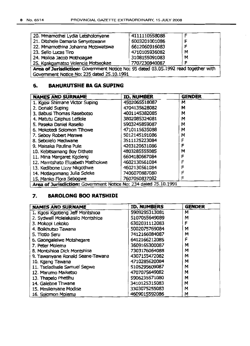| 20. Mmamothei Lydia Letsholonyane                                                  | 4111110558088 |   |  |
|------------------------------------------------------------------------------------|---------------|---|--|
| 21. Ditshele Damaria Senyetswane                                                   | 6003201001086 |   |  |
| 22. Mmamothina Johanna Motswatswa                                                  | 6612060916083 |   |  |
| 23. Sello Lucas Tiro                                                               | 4710105936082 | M |  |
| 24. Moiloa Jacob Mothoagae                                                         | 3108155091083 | M |  |
| 25. Kgakgamatso Velencia Motseokae                                                 | 7707230840087 |   |  |
| Area of Jurisdiction: Government Notice No: 95 dated 03.05.1992 read together with |               |   |  |
| Government Notice No: 235 dated 25.10.1991                                         |               |   |  |

## 6. BAHURUTSHE BA GA SUPING

| <b>NAMES AND SURNAME</b>                                         | <b>ID. NUMBER</b> | <b>GENDER</b> |
|------------------------------------------------------------------|-------------------|---------------|
| 1. Kgosi Shimane Victor Suping                                   | 4502065518087     | м             |
| 2. Donald Suping                                                 | 4704135628082     | м             |
| 3. Babusi Thomas Rasebotso                                       | 4001145382085     | М             |
| 4. Matutu Caiphus Letlole                                        | 3802085324081     | M             |
| 5. Paseka Daniel Rasello                                         | 5903245859087     | M             |
| 6. Mokotedi Solomon Tihowe                                       | 4710115635088     | M             |
| 7. Seboy Robert Menwe                                            | 5012145191086     | M             |
| 8. Sebolelo Mediwane                                             | 3511125223084     | F             |
| 9. Maisaka Pauline Pule                                          | 4203120631086     | F             |
| 10. Kebitsamang Boy Dithate                                      | 4803285555085     | М             |
| 11. Mina Margaret Kgoleng                                        | 6604180667084     | F             |
| 12. Mamtshato Elizabeth Matlhokwe                                | 4602130561084     | F             |
| 13. Kedibone Lizzy Nkgothwe                                      | 4602130561084     | F             |
| 14. Motlagomang Julia Seleke                                     | 7406070887080     | F             |
| 15. Manko Flora Sebogwe                                          | 7607050837082     | F             |
| Area of Jurisdiction: Government Notice No: 234 dated 25.10.1991 |                   |               |

## 7. BAROLONG BOO RATSHIDI

| <b>NAMES AND SURNAME</b>          | <b>ID. NUMBERS</b> | <b>GENDER</b> |
|-----------------------------------|--------------------|---------------|
| 1. Kgosi Kgotleng Jeff Montshioa  | 5909295313081      | М             |
| 2. Sydwell Molelekasilo Montshioa | 5107055649089      | м             |
| 3. Mokopi Lekoko                  | 6302031112083      | F             |
| 4. Boikhutso Tawana               | 5002075769084      | м             |
| 5. Tlotlo Seru                    | 7412166084087      | м             |
| 6. Gaongaleiwe Motshegare         | 6412166212085      | F             |
| 7. Peter Molema                   | 3609165300087      | М             |
| 8. Montshioa Dick Montshioa       | 7303176064088      | м             |
| 9. Tawanyane Ronald Seane-Tawana  | 4307155472082      | м             |
| 10. Kgang Tawana                  | 4710285620084      | м             |
| 11. Tseladisele Samuel Segwe      | 5105295609087      | м             |
| 12. Marumo Maiketso               | 4707075649082      | M             |
| 13. Thapelo Phetihu               | 5906235571080      | M             |
| 14. Galeboe Thwane                | 3410125315083      | м             |
| 15. Mmilenyane Modise             | 3303075255083      | M             |
| 16. Solomon Molema                | 4609015592086      | M             |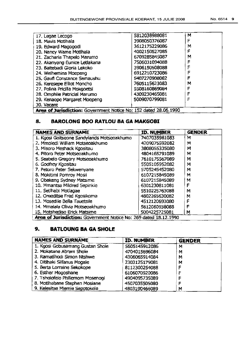| 17. Legae Lecogo                                                        | 5812038988081 | M |
|-------------------------------------------------------------------------|---------------|---|
| 18. Mavis Motlhala                                                      | 3908050376087 | F |
| 19, Edward Magogodi                                                     | 3612175229086 | м |
| 20. Nancy Wame Motihala                                                 | 4002150527085 | F |
| 21. Zacharia Thapelo Marumo                                             | 6709285845087 | М |
| 22. Akanyang Eunice Letlakana                                           | 7506031094088 | F |
| 23. Baitebadi Gloria Lekoko                                             | 3906150508088 | F |
| 24. Welhemina Moepeng                                                   | 6912210723086 | F |
| 25. Gaufi Constance Semaushu                                            | 5407270908082 | F |
| 26. Keresepe Elliot Moncho                                              | 7605115623083 | М |
| 27. Polina Pricilla Mokgoetsi                                           | 5508160869084 | F |
| 28. Omphile Patricial Marumo                                            | 4309230465081 | F |
| 29. Kenaope Margaret Moepeng                                            | 5009070799081 | F |
| 30. Vacant                                                              |               |   |
| <b>Area of Jurisdiction:</b> Government Notice No: 152 dated 28.06.1990 |               |   |

## 8. BAROLONG BOO RATLOU BA GA MAKGOBI

| <b>NAMES AND SURNAME</b>                                         | <b>ID. NUMBER</b> | <b>GENDER</b> |
|------------------------------------------------------------------|-------------------|---------------|
| 1. Kgosi Goitseone Sandylands Motseoakhumo                       | 7407035981083     | м             |
| 2. Mmoledi William Motseoakhumo                                  | 4209075592082     | М             |
| 3. Misoro Meshack Kgositau                                       | 3808055335080     | м             |
| 4. Pitoro Peter Motseoakhumo                                     | 4804165791089     | м             |
| 5. Seabelo Gregory Motseoakhumo                                  | 7610175567089     | м             |
| 6. Godfrey Kgositau                                              | 5505105952082     | М             |
| 7. Petoro Peter Sekwenyane                                       | 5705245452080     | M             |
| 8. Mokitimi Pomroy Mosii                                         | 6107215845089     | м             |
| 9. Obakeng Sydney Matsime                                        | 6107215845089     | М             |
| 10. Mmantsa Mildred Sepinkie                                     | 6301230811081     | F             |
| 11. Setihabi Motlagae                                            | 5510225763088     | М             |
| 12. Oreeditse Fred Kgosikoma                                     | 4802265630082     | M             |
| 13. Mosedile Bella Tauetsile                                     | 4512120693080     | F             |
| 14. Mmalala Olivia Motseoakhumo                                  | 5612060938088     | F             |
| 15. Motshediso Erick Matsime                                     | 5004225725081     | м             |
| Area of Jurisdiction: Government Notice No: 269 dated 18.12.1990 |                   |               |

## **9. BATLOUNG SA GA SHOlE**

| <b>NAMES AND SURNAME</b>         | <b>ID. NUMBER</b> | <b>GENDER</b> |
|----------------------------------|-------------------|---------------|
| 1. Kgosi Gobusamang Gustan Shole | 5605145912086     | М             |
| 2. Mokatane Abram Shole          | 4704015696084     | М             |
| 3. Ramatlhodi Simon Ntshwe       | 4306065914084     | М             |
| 4. Ditihaki Silfanus Mogale      | 2303125179081     | М             |
| 5. Berta Lorraine Sekokope       | 8112300254088     | F             |
| 6. Esther Mogoshane              | 6106070920086     | F             |
| 7. Tshalafelo Phillemom Mosenogi | 4904095735089     | F             |
| 8. Motihabane Stephen Mosiane    | 4507035505080     | F             |
| 9. Kelesitse Miernie Sepotokele  | 4803190466089     | M             |

 $\mathcal{L}^{\mathcal{L}}$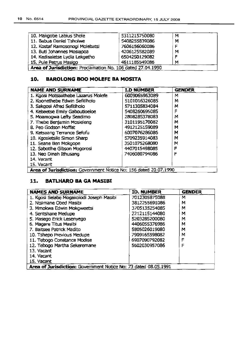| 10. Makgobe Labius Shole                                    | 5311215750080 | м |
|-------------------------------------------------------------|---------------|---|
| 11. Babua Daniel Tsholwe                                    | 5408255839086 | M |
| 12. Kostaf Ramosenogi Molebatsi                             | 7606156060086 | F |
| 13. Buti Johannes Mosiapoa                                  | 4206125582089 | M |
| 14. Kedisaletse Lydia Lekgetho                              | 6504250129082 | F |
| 15. Pule Petrus Masigo                                      | 4611185549086 | М |
| Area of Jurisdiction: Proclamation No. 106 dated 27.04.1990 |               |   |

#### **10. BAROLONG BOO MOLEFE BA MOSITA**

| <b>NAME AND SURNAME</b>                                          | <b>I.D NUMBER</b> | <b>GENDER</b> |
|------------------------------------------------------------------|-------------------|---------------|
| 1. Kgosi Motsaathebe Lazarus Molefe                              | 6009065963089     | м             |
| 2. Koonethebe Edwin Sefitiholo                                   | 5101016326085     | М             |
| 3. Sakgosi Afred Sefitiholo                                      | 5711305834084     | м             |
| 4. Kebaetse Emily Gaboutloeloe                                   | 5408260695085     | F             |
| 5. Moamogwa Lefty Seadimo                                        | 2808285378083     | м             |
| 7. Thebe Benjamin Mosieleng                                      | 3101195170082     | м             |
| 8. Peo Godson Moffat                                             | 4912125159089     | М             |
| 9. Ketsaang Terrance Sefofu                                      | 6007076286086     | M             |
| 10. Kgosietsile Simon Sharp                                      | 5709235914083     | М             |
| 11. Seane Ben Mokgope                                            | 3501075268080     | м             |
| 12. Sabotihe Gibson Mogorosi                                     | 4407015498085     | F             |
| 13. Neo Dinah Ithusang                                           | 7406080794086     | F             |
| 14. Vacant                                                       |                   |               |
| 15. Vacant                                                       |                   |               |
| Area of Jurisdiction: Government Notice No: 156 dated 20.07.1990 |                   |               |

#### 11. **BATLHARO SA GA MASIBI**

| <b>NAMES AND SURNAME</b>                                        | <b>ID. NUMBER</b> | <b>GENDER</b> |
|-----------------------------------------------------------------|-------------------|---------------|
| 1. Kgosi Selabe Mogakolodi Joseph Masibi                        | 7012305875088     | м             |
| 2. Ntsimane Obed Masibi                                         | 3812255691086     | М             |
| 3. Mmokwa Edwin Mokgweetsi                                      | 3705135254085     | м             |
| 4. Seritshane Medupe                                            | 2212115144080     | м             |
| 5. Masego Erick Lesenyego                                       | 5203285200080     | м             |
| 6. Magare Titus Masibi                                          | 4406055376986     | М             |
| 7. Baitsee Patrick Madito                                       | 5805026019080     | М             |
| 10. Tshepo Previous Medupe                                      | 7909165598082     | м             |
| 11. Tebogo Constance Modise                                     | 6907090792082     | Ë             |
| 12. Tebogo Martha Sekeremane                                    | 5602030957086     | F             |
| 13. Vacant                                                      |                   |               |
| 14. Vacant                                                      |                   |               |
| 15. Vacant                                                      |                   |               |
| Area of Jurisdiction: Government Notice No: 73 dated 08.05.1991 |                   |               |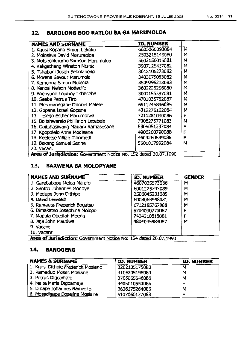# **12. BAROLONG BOO RATLOU SA GA MARUMOLOA**

| <b>NAMES AND SURNAME</b>                                         | <b>ID. NUMBER</b> |   |
|------------------------------------------------------------------|-------------------|---|
| 1. Kgosi Kopano Simon Lekoko                                     | 6603066093084     | м |
| 2. Molosiwa David Marumoloa                                      | 2503215149080     | м |
| 3. Motseoakhumo Samson Marumoloa                                 | 5602156015081     | м |
| 4. Kekgetheng Winston Ntshidi                                    | 3907125417082     | M |
| 5. Tshabani Joseh Sebolaneng                                     | 3012105273082     | м |
| 6. Morena Savour Marumola                                        | 3403075083082     | M |
| 7. Kemonna Simon Molema                                          | 3509295213083     | М |
| 8. Kenosi Nelson Mottadile                                       | 3602225256080     | м |
| 9. Boenyane Louiboy Tshesebe                                     | 3001155397081     | м |
| 10. Seabe Petrus Tiro                                            | 4701035752087     | м |
| 11. Mosimanegape Colonel Malete                                  | 6511245836085     | м |
| 12. Gopane Israel Gopane                                         | 4312275162084     | м |
| 13. Lesego Esther Marumolwa                                      | 7211251090086     | F |
| 15. Boitshwarelo Phillimon Letebele                              | 7008275771083     | м |
| 16. Goitshasiwang Mariam Ramasesane                              | 5805051337084     | F |
| 17. Kgopolelo Anna Modisane                                      | 4906260790088     | F |
| 18. Keeletse Villiah Tihomedi                                    | 4604260589085     | F |
| 19. Bakang Samuel Senne                                          | 5501017992084     | м |
| 20. Vacant                                                       |                   |   |
| Area of Jurisdiction: Government Notice No. 152 dated 30.07.1990 |                   |   |

## **13. BAKWENA SA MOLOPYANE**

| <b>NAMES AND SURNAME</b>                                         | ID. NUMBER    | <b>GENDER</b> |
|------------------------------------------------------------------|---------------|---------------|
| 1. Garebabope Melea Malefo                                       | 4607035573086 | M             |
| 2. Sentso Johannes Monnye                                        | 6001225743089 | м             |
| 3. Medupe John Dithipe                                           | 2506045231085 | М             |
| 4. David Lesetedi                                                | 6008065958081 | M             |
| 5. Ramauta Frederick Bogatsu                                     | 6712185767088 | М             |
| 6. Dimakatso Josephine Molopo                                    | 6704090773087 | F             |
| 7. Mapula Obediah Moeng                                          | 7404210818081 | F             |
| 8. Jaja John Mautlwa                                             | 4804045889087 | м             |
| 9. Vacant                                                        |               |               |
| 10. Vacant                                                       |               |               |
| Area of Jurisdiction: Government Notice No: 154 dated 20.07.1990 |               |               |

#### **14. BANOGENG**

| <b>NAMES &amp; SURNAME</b>         | ID. NUMBER    | <b>ID. NUMBER</b> |
|------------------------------------|---------------|-------------------|
| 1. Kgosi Dithole Frederick Mosiane | 3202135175080 | м                 |
| 2. Ramaduo Moses Mosiane           | 3106205196084 | м                 |
| 3. Petrus Digoamaje                | 3706065546086 | м                 |
| 4. Maite Maria Digoamaje           | 4405010553086 |                   |
| 5. Dinape Johannes Ramasilo        | 3606175264085 | M                 |
| 6. Mosadigape Doseline Mosiane     | 5107060137088 |                   |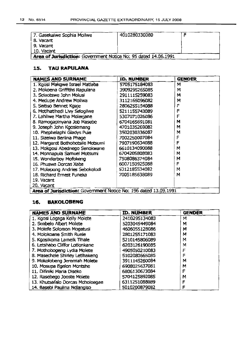| 7. Gasekaiwe Sophia Moilwe                                      | 4010280330080 |  |
|-----------------------------------------------------------------|---------------|--|
| 8. Vacant                                                       |               |  |
| 9. Vacant                                                       |               |  |
| 10. Vacant                                                      |               |  |
| Area of Jurisdiction: Government Notice No: 95 dated 14.06.1991 |               |  |

#### **15. TAU RAPULANA**

| <b>NAMES AND SURNAME</b>                                         | ID. NUMBER    | <b>GENDER</b> |
|------------------------------------------------------------------|---------------|---------------|
| 1. Kgosi Makgwe Israel Matlaba                                   | 5705175184083 | М             |
| 2. Mokoena Griffiths Rapulana                                    | 3909295265085 | м             |
| 3. Selaotswe John Molusi                                         | 2911115259083 | M             |
| 4. Medupe Andrew Moilwa                                          | 3112165096082 | M             |
| 5. Seitiso Bennet Kgaje                                          | 2806255154088 | F             |
| 6. Mothatthedi Livy Selogilwe                                    | 5211155743089 | F             |
| 7. Lahliwe Martha Moleejane                                      | 5307071026086 | F             |
| 8. Ramogapinyana Job Masebe                                      | 6704165691081 | м             |
| 9. Joseph John Kgosiemang                                        | 4701035269082 | м             |
| 10. Phephelaphi Gladys Pule                                      | 3502030336087 | м             |
| 11. Sizeiwa Berlina Phage                                        | 7002250007084 | F             |
| 12. Margaret Bothobotsile Motsumi                                | 7907190634088 | F             |
| 13. Mokgosi Abednego Senokwane                                   | 6610134090088 | М             |
| 14. Monnapula Samuel Motsumi                                     | 6704205808083 | М             |
| 15. Wonderboy Mofokeng                                           | 7508086374084 | м             |
| 16. Phuswa Dorcas Xaba                                           | 6007150925088 | F             |
| 17. Molapong Andries Sebokolodi                                  | 5312185534082 | M             |
| 18. Richard Ernest Funeka                                        | 7005185638089 | м             |
| 19. Vacant                                                       |               |               |
| 20. Vacant                                                       |               |               |
| Area of Jurisdiction: Government Notice No: 196 dated 13.09.1991 |               |               |

#### **16. BAKOLOBENG**

| <b>NAMES AND SURNAME</b>         | ID. NUMBER    | <b>GENDER</b> |
|----------------------------------|---------------|---------------|
| 1. Kgosi Logaga Kelly Molete     | 2410295134083 | м             |
| 2. Seabelo Albert Molete         | 5203045449084 | м             |
| 3. Molefe Solomon Mogatusi       | 4606055128086 | м             |
| 4. Molokoane Smith Ruele         | 2801255171083 | м             |
| 5. Kgosikoma Lamelk Tihale       | 5210145806089 | м             |
| 6. Letshabo Cliffor Lotlonkane   | 6203126190085 | M             |
| 7. Mothobogeng Lydia Molete      | 4905050210083 | F             |
| 8. Masechele Shirley LetIhakeng  | 5102080665085 | F             |
| 9. Mokolobeng Jeremiah Molete    | 3911145260084 | м             |
| 10. Mosupa Egelon Montshe        | 6908025637081 | м             |
| 11. Difiniki Maria Diseko        | 6806130673084 | F             |
| 12. Rasebego Jooste Moiete       | 5704125892085 | м             |
| 13. Khutsafalo Dorcas Moholoagae | 6311251088089 | F             |
| 14. Basebi Paulina Ndlangiso     | 5010200879082 | F             |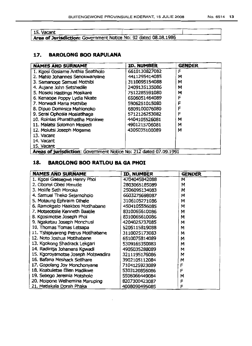| 15. Vacant                                                      |  |
|-----------------------------------------------------------------|--|
| Area of Jurisdiction: Government Notice No: 92 dated 08.08.1986 |  |

#### **17. BAROLONG 800 RAPULANA**

| <b>NAMES AND SURNAME</b>                                          | ID. NUMBER    | <b>GENDER</b> |
|-------------------------------------------------------------------|---------------|---------------|
| 1. Kgosi Gosiame Anthia Seatlholo                                 | 6610130827082 | F             |
| 2. Mahlo Johannes Senokwanyane                                    | 4411295414085 | м             |
| 3. Samanoge Samuel Mothibi                                        | 3110095154088 | м             |
| 4. Aujane John Setshedile                                         | 2409135135086 | м             |
| 5. Moseki Hastings Mosikare                                       | 7512285591080 | м             |
| 6. Kenaope Poppy Lydia Nkate                                      | 6506051464089 | F             |
| 7. Morwadi Maria Mathibe                                          | 5906251015080 | F             |
| 8. Dipuo Dominica Mahlonoko                                       | 6809100076080 | F             |
| 9. Serai Ophosia Mosiatlhaga                                      | 5712126253082 | F             |
| 10. Roinias Pharatihatiha Monkwe                                  | 4404105526081 | м             |
| 11. Maiatsi Solomon Mosiedi                                       | 4901215706081 | м             |
| 12. Molutsi Joseph Mogame                                         | 4305035100089 | м             |
| 13. Vacant                                                        |               |               |
| 14. Vacant                                                        |               |               |
| 15. Vacant                                                        |               |               |
| Areas of jurisdiction: Government Notice No: 212 dated 07.09.1991 |               |               |

## **18. BAROLONG BOO RATLOU BA GA PHOI**

| <b>NAMES AND SURNAME</b>           | ID. NUMBER    | <b>GENDER</b> |
|------------------------------------|---------------|---------------|
| 1. Kgosi Gaesegwe Henry Phoi       | 4704045842088 | м             |
| 2. Obonyi Obed Mmutle              | 2803065185089 | M             |
| 3. Molife Seth Moroka              | 2506095134083 | M             |
| 4. Samuel Theko Sejamoholo         | 6603275698087 | м             |
| 5. Motaung Ephraim Dihele          | 3106105271086 | м             |
| 6. Ramokgalo Haakbos Motlhabane    | 4504105556085 | M             |
| 7. Motseotsile Kenneth Baatile     | 8310065610086 | м             |
| 8. Kgosimotse Joseph Phoi          | 8310065610086 | M             |
| 9. Ngakatau Joseph Monchusi        | 4204025737085 | м             |
| 10. Thomas Tomas Letsapa           | 5205115819088 | М             |
| 11. Tshipiyareng Petrus Motihabane | 3110025173083 | м             |
| 12. Noto Joshua Motihabane         | 6510075814089 | м             |
| 13. Kgokong Shadrack Lekgari       | 5309165350083 | M             |
| 14. Radintja Johanens Kgwadi       | 4905035288089 | м             |
| 15. Kgoroyamotse Joseph Motswadira | 3211195176086 | M             |
| 16. Bafana Meshack Setihare        | 3902105112084 | M             |
| 17. Gopolang Joy Monchonyane       | 7104125923089 | F             |
| 18. Keabuletse Ellen Madikwe       | 5303120856086 | F             |
| 19. Sebego Jeremia Motshole        | 5506066449084 | м             |
| 20. Moipone Welhemina Maruping     | 8207300423087 | F             |
| 21. Matlakala Dorah Phaka          | 4008090495085 | F             |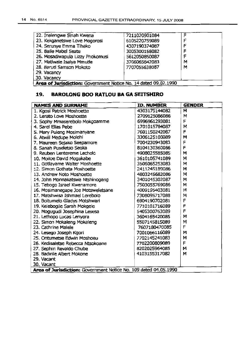| 22. Inalengwe Sinah Kwena                                       | 7211020901084 | ⊏ |
|-----------------------------------------------------------------|---------------|---|
| 23. Kekganetswe Love Mogorosi                                   | 6105220759089 |   |
| 24. Serunye Emma Tihako                                         | 4307190374087 |   |
| 25. Baile Mabel Seate                                           | 3005300158082 | F |
| 26. Mosadiwapula Lizzy Phokomusi                                | 5612050850087 |   |
| 27. Matiwale Isaiya Mmutle                                      | 3706065642083 | м |
| 28. Baruti Samson Mokoto                                        | 7707055638087 | м |
| 29. Vacancy                                                     |               |   |
| 30. Vacancy                                                     |               |   |
| Area of Jurisdiction: Government Notice No. 14 dated 09.02.1990 |               |   |

#### **19. BAROLONG BOO RATLOU BA GA SEITSHIRO**

| <b>NAMES AND SURNAME</b>                                         | <b>ID. NUMBER</b> | <b>GENDER</b> |  |
|------------------------------------------------------------------|-------------------|---------------|--|
| 1. Kgosi Patrick Moshoette                                       | 4303175144082     | м             |  |
| 2. Lerato Love Moshoette                                         | 2709125086086     | M             |  |
| 3. Sophy Mmaserebolo Mokgoamme                                   | 6996961293081     | F             |  |
| 4. Sarel Elias Pebe                                              | 1701015784087     | м             |  |
| 5. Mary Puleng Mosimanyane                                       | 7601150242087     | F             |  |
| 6. Atwill Medupe Molehi                                          | 3306125100089     | M             |  |
| 7. Maureen Sejako Seepamore                                      | 7004230943083     | F             |  |
| 8. Sanah Puseletso Seoka                                         | 8104130360086     | F             |  |
| 9. Reuben Lentereme Lecholo                                      | 4908025585085     | м             |  |
| 10. Moiloe David Mogakabe                                        | 3610105741089     | м             |  |
| 11. Gotlayame Walter Moshcette                                   | 3506065253083     | м             |  |
| 12. Simon Gothata Moshoette                                      | 2411245189086     | м             |  |
| 13. Andrew Noto Moshoette                                        | 4803245682086     | М             |  |
| 14. John Monnakatswa Ntshinogang                                 | 3401045302087     | М             |  |
| 15. Tebogo Israel Kwenamore                                      | 7503055769086     | м             |  |
| 16. Mosimanegape Joe Motsweletsane                               | 4009195403081     | м             |  |
| 17. Matshwisa Ishmael Lerebolo                                   | 7308095717088     | м             |  |
| 18. Boitumelo Gladys Motshwari                                   | 6904190702081     | F             |  |
| 19. Kelebogile Sarah Mokgele                                     | 7710101716089     | F             |  |
| 20. Mogugudi Josephina Lesesa                                    | 5405300763089     | F             |  |
| 21. Lethopo Lucas Lenyora                                        | 3604165420085     | м             |  |
| 22. Simon Mokaleng Mokaleng                                      | 5507145815089     | М             |  |
| 23. Cathrine Malele                                              | 7607180470085     | F             |  |
| 24. Lesego Joseph Kgori                                          | 7001066116089     | м             |  |
| 25. Ontumetse Edwin Moshoeu                                      | 7702145241083     | M             |  |
| 26. Kedisaletse Rebecca Ntsokoane                                | 7702200809089     | F             |  |
| 27. Sephiri Revaldo Chube                                        | 8202025964085     | м             |  |
| 28. Badirile Albert Mokone                                       | 4103155317082     | M             |  |
| 29. Vacant                                                       |                   |               |  |
| 30. Vacant                                                       |                   |               |  |
| Area of Jurisdiction: Government Notice No. 109 dated 04.05.1990 |                   |               |  |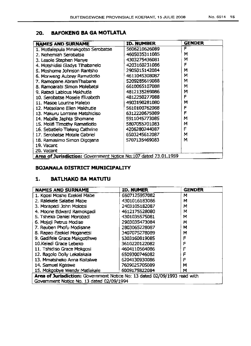## 20. BAFOKENG BA GA MOTLATLA

| <b>NAMES AND SURNAME</b>                                         | ID. NUMBER    | <b>GENDER</b> |
|------------------------------------------------------------------|---------------|---------------|
| 1. Motlalepula Mmakgotso Serobatse                               | 5606210626089 | F             |
| 2. Nehemiah Serobatse                                            | 4605035311085 | м             |
| 3. Lesole Stephen Manye                                          | 4303275436081 | М             |
| 4. Motshidisi Gladys Tlhabanelo                                  | 4203160231086 | F             |
| 5. Moshome Johnson Rantsho                                       | 2905015142084 | м             |
| 6. Morweng Aubrey Ramatiotio                                     | 4611045308087 | м             |
| 7. Ramopane AbramThabane                                         | 5209285619088 | M             |
| 8. Ramoarabi Simon Molebatsi                                     | 6610065107088 | м             |
| 9. Ratadi Labious Makhutla                                       | 4812135269086 | м             |
| 10. Serobatse Mosele Elizabeth                                   | 4812250277088 | F             |
| 11. Masoe Lourine Malebo                                         | 4903190281080 | м             |
| 12. Matselane Ellen Makhutle                                     | 5610100762088 | F             |
| 13. Makuru Lorraine Matshidiso                                   | 6312220675089 | F             |
| 14. Mabille Japhta Shomane                                       | 5911045773085 | М             |
| 15. Molifi Timothy Ramatlotlo                                    | 5807055701083 | М             |
| 16. Sebatlelo Tlaleng Cathrine                                   | 4206280244087 | F             |
| 17. Serobatse Motale Gabriel                                     | 6503245612087 | M             |
| 18. Ramasimo Simon Digojana                                      | 5707135469083 | М             |
| 19. Vacant                                                       |               |               |
| 20. Vacant                                                       |               |               |
| Area of Jurisdiction: Government Notice No: 107 dated 23.01.1959 |               |               |

#### BOJANALA DISTRICT MUNICIPALITY

#### 1. BATLHAKO SA MATUTU

| <b>NAMES AND SURNAME</b>                                                  | ID. NUMER     | <b>GENDER</b> |
|---------------------------------------------------------------------------|---------------|---------------|
| 1. Kgosi Moshe Ezekiel Mabe                                               | 6507125957082 | М             |
| 2. Ralekele Salatiel Mabe                                                 | 4301016183086 | м             |
| 3. Morapedi John Molotsi                                                  | 2403105182087 | M             |
| 4. Moone Edward Ramokgadi                                                 | 4612175528080 | М             |
| 5. Tsheko Daniel Morobadi                                                 | 4301035575081 | М             |
| 6. Mojaji Petrus Modise                                                   | 2903035473084 | M             |
| 7. Reuben Phofu Modisane                                                  | 2803065228087 | М             |
| 8. Rapao Ezekiel Moganetsi                                                | 3407075278089 | М             |
| 9. Gadifele Grace Makgotihwe                                              | 5303160819085 | F             |
| 10. Keledi Grace Lebeko                                                   | 3610220122082 | F             |
| 11. Tshidiso Grace Mokgosi                                                | 4604110564086 | F             |
| 12. Bagolo Dolly Lekalakala                                               | 6509300746082 | F             |
| 13. Mmatsheko Anna Koitsiwe                                               | 6204130930086 | F             |
| 14. Samuel Kgaswe                                                         | 7609025705089 | М             |
| 15. Mokgobye Wendy Matlakale                                              | 6009175822084 | м             |
| Area of Jurisdiction: Government Notice No: 13 dated 02/09/1993 read with |               |               |
| Government Notice No. 13 dated 02/09/1994                                 |               |               |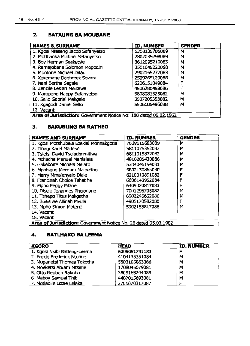#### **2. BATAUNG BA MOUBANE**

| <b>NAMES &amp; SURNAME</b>                                       | ID, NUMBER    | <b>GENDER</b> |
|------------------------------------------------------------------|---------------|---------------|
| 1. Kgosi Nteseng Jacob Sefanyetso                                | 5308135785089 | м             |
| 2. Motlhanka Michael Sefanyetso                                  | 2802035298089 | м             |
| 3. Boy Herman Seakatsie                                          | 3612095210083 | м             |
| 4. Ramajobane Solomon Mogodiri                                   | 3501045220088 | М             |
| 5. Montone Michael Ditau                                         | 2902165277083 | М             |
| 6. Xekemane Dagbreek Sovara                                      | 2509265129088 | М             |
| 7. Nani Bertha Segale                                            | 6206151049084 | F             |
| 8. Zenzile Lesiah Menziwa                                        | 4506280458086 | F             |
| 9. Maropeng Happy Sefanyetso                                     | 5808081525082 | м             |
| 10. Sello Gabriel Makgale                                        | 3907205353082 | М             |
| 11. Kgagodi Daniel Sello                                         | 5506105496088 | M             |
| 12. Vacant                                                       |               |               |
| Area of Jurisdiction: Government Notice No: 180 dated 09.02.1962 |               |               |

#### **3. BAKUBUNG BA RATHEO**

| <b>NAMES AND SURNAME</b>                                        | <b>ID. NUMBER</b> | <b>GENDER</b> |
|-----------------------------------------------------------------|-------------------|---------------|
| 1. Kgosi Motshubela Ezekiel Monnakgotla                         | 7609115683089     | м             |
| 2. Tihagi Karel Maditse                                         | 5811075352083     | м             |
| 3. Tsietsi David Tseladimmitlwa                                 | 6811015872082     | М             |
| 4. Mchacha Manuel Mahlalela                                     | 4810285430086     | М             |
| 5. Gakeboife Michael Melato                                     | 5304046194081     | м             |
| 6. Mpotseng Merriam Malpetiho                                   | 5602130865080     | F             |
| 7. Marry Mmalenyalo Diale                                       | 6210010891082     | F             |
| 8. Francinah Choice Tshetihe                                    | 6606140952084     | F             |
| 9. Mpho Peggy Pilane                                            | 6409020817083     | F             |
| 10. Disele Johannes Phologane                                   | 7001295705082     | м             |
| 11. Tshepo Titus Makgatha                                       | 6902245662086     | М             |
| 12. Busisiwe Allinah Myula                                      | 4905170582080     | F             |
| 13. Mpho Simon Motene                                           | 5302155817088     | М             |
| 14. Vacant                                                      |                   |               |
| 15. Vacant                                                      |                   |               |
| Area of Jurisdiction: Government Notice No. 20 dated 05.03.1982 |                   |               |

#### **4. BATLHAKO BA LEEMA**

| <b>KGORO</b>                 | <b>HEAD</b>   | <b>TD. NUMBER</b> |
|------------------------------|---------------|-------------------|
| 1. Kgosi Nkibi Batleng-Leema | 6205051791183 |                   |
| 2. Frekie Frederick Ntuane   | 4104135351084 | М                 |
| 3. Moganetsi Thomas Tokotha  | 5503105863086 | M                 |
| 4. Moeketsi Abram Mtsime     | 1708045079081 | M                 |
| 5. Otto Reuben Rakuba        | 3809165244089 | M                 |
| 6. Maboy Samuel Thiti        | 4407015693081 | М                 |
| 7. Motladile Lizzie Lelaka   | 2701070317087 |                   |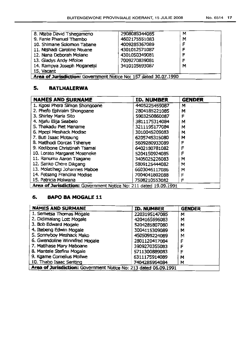| 8. Ntaba David Tshegameno                                        | 2908085344085 | м |
|------------------------------------------------------------------|---------------|---|
| 9. Fanie Phanuel Thembo                                          | 4602175551083 | М |
| 10. Shimane Solomon Tabane                                       | 4009285367089 | F |
| 11. Ntshadi Caroline Ntuane                                      | 4301012571087 | F |
| 12. Nana Deborah Molane                                          | 4301050349081 |   |
| 13. Gladys Andy Mfoloe                                           | 7009270839081 | F |
| 14. Rampya Joseph Moganetsi                                      | 3410105693087 | м |
| 15. Vacant                                                       |               |   |
| Area of Jurisdiction: Government Notice No: 157 dated 30.07.1990 |               |   |

## 5. BATLHALERWA

| <b>NAMES AND SURNAME</b>                                         | ID. NUMBER    | <b>GENDER</b> |
|------------------------------------------------------------------|---------------|---------------|
| 1. Kgosi Phera Simon Shongoane                                   | 4405225459087 | м             |
| 2. Phefo Ephraim Shongoane                                       | 2804185221085 | м             |
| 3. Shirley Maria Sito                                            | 5903250860087 | F             |
| 4. Njafu Elija Seabelo                                           | 3811175314084 | м             |
| 5. Thakadu Piet Maname                                           | 3211195177084 | м             |
| 6. Mpepi Meshack Modise                                          | 3010045209083 | м             |
| 7. Buti Isaac Motaung                                            | 6205745315080 | м             |
| 8. Matlhodi Dorcas Tshenye                                       | 5609280933089 | F             |
| 9. Kedibone Christinah Tsamai                                    | 6402180781082 | F             |
| 10. Lorato Margaret Moseneke                                     | 5204150924085 | F             |
| 11. Ranuma Aaron Tsagane                                         | 3405025226083 | м             |
| 12. Sanko Chere Dikgang                                          | 5809125444082 | м             |
| 13. Molatihegi Johannes Maboe                                    | 6603046117086 | м             |
| 14. Fetsang Francina Modise                                      | 7004041802088 | F             |
| 15. Patricia Molwana                                             | 7508210553082 | F             |
| Area of Jurisdiction: Government Notice No: 211 dated 19.09.1991 |               |               |
|                                                                  |               |               |

## 6. BAPO SA MOGALE 11

| <b>NAMES AND SURMANE</b>                                         | <b>ID. NUMBER</b> | <b>GENDER</b> |
|------------------------------------------------------------------|-------------------|---------------|
| 1. Semetsa Thomas Mogale                                         | 2203195147085     | м             |
| 2. Didimalang Lott Mogale                                        | 4204165696083     | M             |
| 3. Bob Edward Mogale                                             | 5204285807080     | м             |
| 4. Itebeng Edwin Mogale                                          | 3004115309089     | м             |
| 5. Sonnyboy Meshack Mako                                         | 4505095224089     | M             |
| 6. Gwendoline Winnifred Mogale                                   | 2801120417084     | F             |
| 7. Matihase Mary Maboane                                         | 3909270355083     | F             |
| 8. Mantele Stefina Mogale                                        | 5711300889083     | ۴             |
| 9. Kgame Cornelius Moilwe                                        | 6311175914089     | м             |
| 10. Thabo Isaac Seriting                                         | 7404285954084     | M             |
| Area of Jurisdiction: Government Notice No: 213 dated 06.09.1991 |                   |               |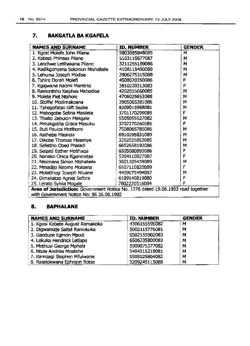## **7. BAKGATLA BA KGAFELA**

| <b>NAMES AND SURNAME</b>                                                        | <b>ID. NUMBER</b> | <b>GENDER</b> |
|---------------------------------------------------------------------------------|-------------------|---------------|
| 1. Kgosi Molefe John Pilane                                                     | 5803085848085     | M             |
| 2. Kobedi Phineas Pilane                                                        | 5103115677087     | М             |
| 3. Lenchwe Letihakana Pilane                                                    | 3211255189086     | М             |
| 4. Radikgonyana Solomon Ntshabele                                               | 4108115450089     | M             |
| 5. Lehuma Joseph Modise                                                         | 3906275315088     | M             |
| 6. Tshire Dorah Molefi                                                          | 4508020350086     | F             |
| 7. Kgajwane Naomi Mantirisi                                                     | 3810220313083     | Ë             |
| 8. Ramontsho Kaiphas Mabodisa                                                   | 4202015660085     | M             |
| 9. Molete Piet Ntshole                                                          | 4706025653088     | M             |
| 10. Stoffel Modimakoana                                                         | 3905065381086     | M             |
| 11. Tshegofatso Gift Seake                                                      | 8309015968081     | M             |
| 12. Mabogobe Selina Masilela                                                    | 3701170299085     | F             |
| 13. Thabo Zebulon Makgale                                                       | 5505055527082     | M             |
| 14. Mmakgotha Grace Masuku                                                      | 3202270260085     | F             |
| 15. Buti Paulos Motlhomi                                                        | 7508065785086     | M             |
| 16. Rathebe Masilela                                                            | 6910295831089     | M             |
| 17. Dikobe Thomas Masenye                                                       | 3202025853085     | М             |
| 18. Sefetiho Obed Phaladi                                                       | 6652658193086     | M             |
| 19. Seipati Esther Motihaga                                                     | 6505080893086     | F             |
| 20. Nanako Onica Kgarimetsa                                                     | 5304110827087     | F             |
| 21. Ntsimane Simon Ntshabele                                                    | 3601105439089     | M             |
| 22. Mmadijo Naome Moloana                                                       | 6507110820089     | F             |
| 23. Molatihegi Joseph Ntuane                                                    | 4409075494087     | M             |
| 24. Dimakatso Agnes Sefora                                                      | 6109140819080     | F             |
| 25. Lerato Sylvia Mogale                                                        | 7802220516084     | F             |
| Area of Jurisdiction: Government Notice No. 1276 dated 19.06.1953 read together |                   |               |
| with Government Notice No: 86 26.06.1992                                        |                   |               |

# **8. BAPHALANE**

| <b>NAMES AND SURNAME</b>        | <b>ID. NUMBER</b> | <b>GENDER</b> |
|---------------------------------|-------------------|---------------|
| 1. Kgosi Kobete August Ramakoka | 4306155595082     | м             |
| 2. Digwamaje Saltel Ramokoka    | 5002115776081     | M             |
| 3. Gaedupe Egmon Mpodi          | 5502155902083     | M             |
| 4. Lekuka Hendrick Letlape      | 6506235800083     | M             |
| 5. Mothusi George Mphela        | 5909075377082     | M             |
| 6. Ntule Andrias Moatshe        | 3404215219081     | М             |
| 7. Ramoagi Stephen Mfulwane     | 5505025804082     | м             |
| 8. Raselokwana Ephraim Botse    | 3209245115088     | Μ             |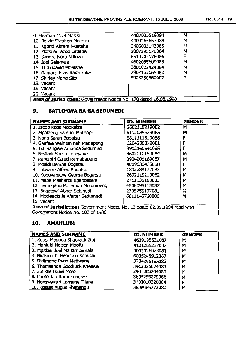| 9. Herman Cicel Masisi                                           | 4407035519084 | M |
|------------------------------------------------------------------|---------------|---|
| 10. Boikie Stephen Mokoka                                        | 4904265653088 | м |
| 11. Kgont Abram Moatshe                                          | 3405095143085 | м |
| 12. Motsoai Jacob Letiape                                        | 2807295170084 | м |
| 13. Sandra Nora Ndlovu                                           | 6510102178086 | F |
| 14. Joel Selemela                                                | 4602085609088 | м |
| 15. Tutu David Moatshe                                           | 3801025424084 | м |
| 16. Ramaru Elias Ramokoka                                        | 2902155165082 | м |
| 17. Shirley Maria Sito                                           | 5903250860087 | ۴ |
| 18. Vacant                                                       |               |   |
| 19, Vacant                                                       |               |   |
| 20. Vacant                                                       |               |   |
| Area of Jurisdiction: Government Notice No: 170 dated 16.08.1990 |               |   |

### **9. BATLOKWA BA GA SEDUMEDI**

| <b>NAMES AND SURNAME</b>                                                  | <b>ID. NUMBER</b> | Gender |
|---------------------------------------------------------------------------|-------------------|--------|
| 1. Jacob Koos Mooketsa                                                    | 2602115219082     | м      |
| 2. Mpolaeng Samuel Mothopi                                                | 5112085629085     | м      |
| 3. Nono Sarah Bogatsu                                                     | 5811111319088     | F      |
| 4. Gaefele Welheminah Matlapeng                                           | 6204290879081     | F      |
| 5. Tshinangwe Amanda Sedumedi                                             | 3912160541085     | F      |
| 6. Ntshadi Sheila Leseyane                                                | 3602010150084     | м      |
| 7. Rantshiri Caled Ramatlapeng                                            | 3904205189087     | м      |
| 8. Mosidi Berlina Bogatsu                                                 | 4009030475088     | F      |
| 9. Tutwane Alfred Bogatsu                                                 | 1802285177083     | м      |
| 10. Koboyankwe George Bogatsu                                             | 2602115219082     | м      |
| 11. Mabe Mesharck Kgaboesele                                              | 2711135160083     | м      |
| 12. Lemogang Philemon Modimoeng                                           | 4508095118087     | M      |
| 13. Bogatswi Abner Setshedi                                               | 2705255197081     | м      |
| 14. Modisaotsile Walter Sedumedi                                          | 6611145760086     | м      |
| 15. Vacant                                                                |                   |        |
| Area of Jurisdiction: Government Notice No. 13 dated 02.09.1994 read with |                   |        |
| Government Notice No. 102 of 1986                                         |                   |        |

#### **10. AMAHLUBI**

| <b>NAMES AND SURNAME</b>      | <b>ID. NUMBER</b> | <b>GENDER</b> |
|-------------------------------|-------------------|---------------|
| 1. Kgosi Madoda Shadrack Zibi | 4609195521087     | M             |
| 2. Mahlubi Nelson Mpofu       | 4101205232087     | M             |
| 3. Mpitizel Joel Mahambehiala | 4002026078081     | M             |
| 4. Nkosinathi Headson Somishi | 6005245912087     | м             |
| 5. Didimane Ryan Matiwane     | 3204295165083     | м             |
| 6. Thamsanga Goodluck Kheswa  | 3412025074083     | м             |
| 7. Ziniklie Israel Molo       | 2901305204080     | м             |
| 8. Phefo Jan Ramokopelwa      | 3605255275086     | М             |
| 9. Nonzwakazi Lorraine Tilana | 3102010320084     | F             |
| 10. Kostas Augus Shabangu     | 3808085772080     | м             |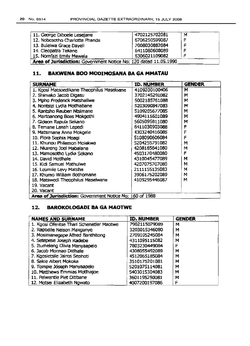| 11. George Diboele Lesejane                                      | 4702125702081 | м |
|------------------------------------------------------------------|---------------|---|
| 12. Nobesotho Charlotte Phanda                                   | 6706250599087 | E |
| 13. Bulelwa Grace Dayeli                                         | 7008030882084 |   |
| 14. Cleopatra Tekane                                             | 6411080608089 |   |
| 15. Nomfazi Emily Mawela                                         | 6306021109082 |   |
| Area of Jurisdiction: Government Notice No: 120 dated 11.05.1990 |               |   |

#### **11. BAKWENA BOO MODIMOSANA BA GA MMATAU**

| <b>SURNAME</b>                                          | <b>ID. NUMBER</b> | <b>GENDER</b> |
|---------------------------------------------------------|-------------------|---------------|
| 1. Kgosi Matsoedikane Theophilus Maseloane              | 4109200100406     | м             |
| 2. Shimako Jacob Digasu                                 | 3702145291082     | м             |
| 3. Mpho Frederick Matshailwe                            | 5002185761088     | M             |
| 4. Nontsizi Lydia Motihabane                            | 5203090847083     | м             |
| 5. Rantsho Reuben Ntsimane                              | 5109205677085     | м             |
| 6. Martoanong Boas Mokgethi                             | 4904115601089     | м             |
| 7. Gideon Rapula Sekano                                 | 5605095811080     | м             |
| 8. Temane Lenah Lepedi                                  | 6411030903088     | ۴             |
| 9. Matsimane Anna Mokgele                               | 4303240416085     | F             |
| 10. Flora Sophia Moagi                                  | 5108090606084     | F             |
| 11. Khunou Philemon Molekwa                             | 5204255791082     | м             |
| 12. Nkareng Joel Mabalane                               | 4208165641080     | м             |
| 13. Mamosotho Lydia Sekano                              | 4503170480080     | F             |
| 14. David Motihale                                      | 4310045477089     | м             |
| 15. Kidi Samuel Mathulwe                                | 4207075707080     | м             |
| 16. Leumile Levy Matshe                                 | 2111155135083     | м             |
| 17. Khumo William Bothomane                             | 3906175202089     | м             |
| 18. Matswedi Theophilus Maselwane                       | 4109295446087     | м             |
| 19. Vacant                                              |                   |               |
| 20. Vacant                                              |                   |               |
| Area of Jurisdiction: Government Notice No: 160 of 1988 |                   |               |

#### **12. BAROKOLOGADI SA GA MAOTWE**

| <b>NAMES AND SURNAME</b>                 | <b>ID. NUMBER</b> | <b>GENDER</b> |
|------------------------------------------|-------------------|---------------|
| 1. Kgosi Ofentse Thari Schenetler Maotwe | 7902115079089     | м             |
| 2. Rapodile Nelson Makganye              | 3203015346080     | м             |
| 3. Mosimanegape Alfred Banthitong        | 2709105245084     | м             |
| 4. Setepese Joseph Radebe                | 4311095115082     | М             |
| 5. Itumeleng Olivia Manyaapelo           | 7803230449084     | F             |
| 6. Jacob Monnao Ditihale                 | 4308055492089     | м             |
| 7. Kgosietsile Jairos Sephoti            | 4512065185084     | M             |
| 8. Sakie Albert Mokoka                   | 3510175201081     | м             |
| 9. Tompie Jóseph Manyaapelo              | 5201075114081     | M             |
| 10. Matthews Emmias Motthajoe            | 5403015304083     | м             |
| 11. Pelwentle Piet Ditibane              | 3601195250081     | м             |
| 12. Motsei Elizabeth Ngwato              | 4007200197086     | F             |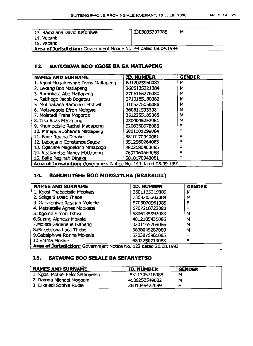| 13. Ramaiana David Keforilwe                                    | 3303035207088 | Μ |
|-----------------------------------------------------------------|---------------|---|
| 14. Vacant                                                      |               |   |
| 15. Vacant                                                      |               |   |
| Area of Jurisdiction: Government Notice No: 44 dated 08.04.1994 |               |   |

#### 13. BATLOKWA BOO KGOSI BA GA MATLAPENG

| <b>NAMES AND SURNAME</b>                                         | <b>ID. NUMBER</b> | <b>GENDER</b> |
|------------------------------------------------------------------|-------------------|---------------|
| 1. Kgosi Mogalenyane Frans Matlapeng                             | 6412025950081     | м             |
| 2. Lekang Bop Matlapeng                                          | 3606135221084     | м             |
| 3. Ramokata Abe Matlapeng                                        | 2706165276080     | M             |
| 4. Ratihogo Jacob Bogatsu                                        | 2710185180082     | м             |
| 5. Motihabana Ramono Letshwiti                                   | 3105275156085     | М             |
| 6. Motswagole Efron Mekgwe                                       | 3606115333081     | M             |
| 7. Molatedi Frans Mogorosi                                       | 3512255185085     | м             |
| 8. Tika Boas Masimong                                            | 2304045252081     | М             |
| 9. Khumoetsile Rachel Matlapeng                                  | 5206250978085     | F             |
| 10. Mmapula Johanna Matlapeng                                    | 6801101299084     | F             |
| 11. Baile Regina Dinake                                          | 5810170940081     | F             |
| 12. Lebogang Constance Segoe                                     | 3512060264083     | F             |
| 13. Ogasitse Magdelone Mmapogo                                   | 3803180403085     | F             |
| 14. Keatlaretse Nancy Matlapeng                                  | 7607060664088     | F             |
| 15. Baile Reginah Dinake                                         | 5810170940081     | F             |
| Area of Jurisdiction; Government Notice No. 144 dated 08.09.1991 |                   |               |

#### 14. BAHURUTSHE BOO MOKGATLHA (BRAKKUIl)

| <b>NAMES AND SURNAME</b>                                         | <b>ID. NUMBER</b> | <b>GENDER</b> |
|------------------------------------------------------------------|-------------------|---------------|
| 1. Kgosi Thabaetsile Mooketsi                                    | 3601135219089     | м             |
| 2. Sekgabi Isaac Thebe                                           | 7309205302084     | м             |
| 3. Gabaiphiwe Rosinah Moleele                                    | 5703070961085     | F             |
| 4. Metsiatsile Agnes Mooketsi                                    | 6707210723080     | F             |
| 5. Kgomo Simon Tshisi                                            | 5806135997083     | м             |
| 6.Suping Alpheus Mokale                                          | 4012105435086     | м             |
| 7. Moieta Gadeneus Ikaneng                                       | 3201165269086     | м             |
| 8. Moketekwa Luca Thebe                                          | 3608045287080     | м             |
| 9. Gabaiphiwe Rosina Moleele                                     | 5703070961085     | F             |
| 10.Emma Mokale                                                   | 6802250719088     |               |
| Area of Jurisdiction: Government Notice No. 122 dated 20.08.1993 |                   |               |

#### 15. BATAUNG BOO SELAlE BA SEFANYETSO

| <b>NAMES AND SURNAME</b>         | <b>ID. NUMBER</b> | <b>GENDER</b> |
|----------------------------------|-------------------|---------------|
| 1. Kgosi Motsei Felix Sefanyetso | 5311305718088     | м             |
| 2. Ratona Michael Mogodiri       | 4509250549082     | М             |
| 3. Dikeledi Sophie Ruole         | 3601045422099     |               |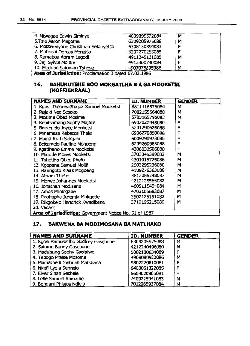| 4. Ntwagae Edwin Siminye                              | 4009095572084 | м |
|-------------------------------------------------------|---------------|---|
| 5. Tsie Aaron Magome                                  | 6309205975088 | M |
| 6. Motswenyane Christinah Sefanyetso                  | 6308130894083 | F |
| 7. Mphushi Dorcas Monaisa                             | 3202270255085 | F |
| 8, Ramaboa Abram Legodi                               | 4911245131085 | M |
| 9. Jeji Sylvia Molefe                                 | 4912300730084 | F |
| 10. Medupe Solomon Tshose                             | 4907075895088 | M |
| Area of Jurisdiction: Proclamation 3 dated 07.02.1986 |               |   |

#### 16. BAHURUTSHE BOO MOKGATLHA B A GA MOOKETSI (KOFFIEKRAAL)

| <b>NAMES AND SURNAME</b>                               | ID. NUMBER    | <b>GENDER</b> |
|--------------------------------------------------------|---------------|---------------|
| 1. Kgosi Thebeeatihajoa Samuel Mooketsi                | 6811116375084 | M             |
| 2. Rajaki Neo Sesoko                                   | 7002155564080 | м             |
| 3. Mosime Obed Mosime                                  | 5703165795083 | M             |
| 4. Kebitsamang Sophy Majafe                            | 6902021943080 | F             |
| 5. Boiturnelo Joyce Mooketsi                           | 5201290676088 | F             |
| 6. Mmamasa Rebecca Thale                               | 6906270850086 | F             |
| 7. Mama Ruth Sekgabi                                   | 6009290973085 | F             |
| 8. Boitumelo Pauline Mogoeng                           | 6209260963088 | F             |
| 9. Kgatihano Emma Mooketsi                             | 4306030506080 | F             |
| 10. Mmutle Moses Mooketsi                              | 3703045399082 | м             |
| 11. Tshetiho Obed Phefo                                | 4301015725086 | М             |
| 12. Kgopane Samuel Molifi                              | 2903295236080 | м             |
| 13. Ranngoto Klaas Mogoeng                             | 4109275363088 | М             |
| 14. Abram Thebe                                        | 3812055248087 | М             |
| 15. Morwe Johannes Mooketsi                            | 4212125565082 | м             |
| 16. Jonathan Modisane                                  | 4609115494084 | M             |
| 17. Amos Phologane                                     | 4702105683087 | м             |
| 18. Raphapha Jeremia Makgetle                          | 3502125191082 | м             |
| 19. Dikgokelo Hendrick Kwadibane                       | 3712195215089 | м             |
| 20. Vacant                                             |               |               |
| Area of Jurisdiction: Government Notice No. 51 of 1987 |               |               |

#### 17. BAKWENA BA MODIMOSANA BA MATLHAKO

| <b>NAMES AND SURNAME</b>             | <b>ID. NUMBER</b> | <b>GENDER</b> |
|--------------------------------------|-------------------|---------------|
| 1. Kgosi Ramosetlho Godfrey Gasebone | 6309205975088     | м             |
| 2. Salome Bonny Gasebone             | 4212240496080     | м             |
| 3. Madubung Sophy Gaolalwe           | 5002100634089     | ۴             |
| 4. Tebogo Praise Mosome              | 4909090932086     | M             |
| 5. Mamathedi Jostinah Matshana       | 5807270810081     | F             |
| 6. Nkefi Lydia Sennelo               | 6403051022085     | F             |
| 7. Eiver Sinah Sechele               | 6609020905081     | F             |
| 8. Lelle Samuel Ramadie              | 7409225941083     | M             |
| 9. Bongani Phistos Ndlela            | 7012265937084     | M             |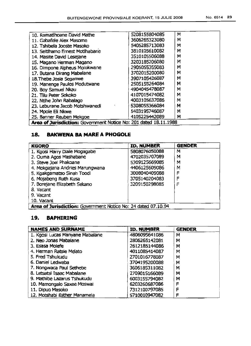| 10. Ramatihoane David Mathe                                      | 5208155804085 | M |
|------------------------------------------------------------------|---------------|---|
| 11. Gabafele Alex Masome                                         | 3606265323080 | м |
| 12. Tshibela Jooste Masoko                                       | 5405285713083 | M |
| 13. Seithamo Ernest Motlhabane                                   | 3810105610082 | M |
| 14. Masite David Lesejane                                        | 3510105506088 | м |
| 15. Magano Herman Magano                                         | 3203185206080 | M |
| 16. Dimpone Alpheus Molokwane                                    | 2905055355083 | М |
| 17. Butana Dirang Mabalane                                       | 3702015200080 | м |
| 18. Thebe Josia Seganwe                                          | 3907105426087 | М |
| 19. Manenge Paulos Modutwane                                     | 2505155264084 | М |
| 20. Boy Samuel Nkau                                              | 4904045478087 | M |
| 21. Tilu Peter Sekoko                                            | 4107015474082 | м |
| 22. Ntihe John Rabalago                                          | 4003105637086 | M |
| 23. Leburane Jacob Motshwanedi                                   | 5308055366084 | M |
| 24. Mpole Eli Nkwe                                               | 5403195746087 | м |
| 25. Banner Reuben Mekgoe                                         | 4105225442089 | м |
| Area of Jurisdiction: Government Notice No: 201 dated 18.11.1988 |               |   |

#### **18. BAKWENA SA MARE A PHOGOLE**

| <b>KGORO</b>                                                  | ID. NUMBER    | <b>GENDER</b> |
|---------------------------------------------------------------|---------------|---------------|
| 1. Kgosi Harry Diale Mogagabe                                 | 5808076050088 | м             |
| 2. Ouma Agos Mashabane                                        | 4702035707089 | м             |
| 3. Steve Joel Phakoane                                        | 5309125669085 | м             |
| 4. Mokgajana Andries Marungwana                               | 4406125609086 | M             |
| 5. Kgakgamatso Sinah Toodi                                    | 3008040409088 | F             |
| 6. Mojabeng Ruth Kusa                                         | 3705140204083 | F             |
| 7. Borejane Elizabeth Sekano                                  | 3209150298085 | F             |
| 8. Vacant                                                     |               |               |
| 9. Vacant                                                     |               |               |
| 10. Vacant                                                    |               |               |
| Area of Jurisdiction: Government Notice No: 24 dated 07.10.94 |               |               |

#### **19. BAPHIRING**

| <b>NAMES AND SURNAME</b>        | <b>ID. NUMBER</b> | <b>GENDER</b> |
|---------------------------------|-------------------|---------------|
| 1. Kgosi Lucas Manyane Mabalane | 4806095641086     | м             |
| 2. Neo Jonas Mabalane           | 2806265142081     | M             |
| 3. Esasa Molefe                 | 2612185144086     | м             |
| 4. Herman Ratsie Melato         | 4011085414087     | м             |
| 5. Fred Tshukudu                | 2701016778087     | М             |
| 6. Daniel Ledwaba               | 3704195200088     | M             |
| 7. Nongwaca Paul Sethebe        | 3606185311082     | м             |
| 8. Letsatsi Isaac Mabalane      | 2709015166089     | м             |
| 9. Mathibe Lazarus Tshukudu     | 6003155794082     | M             |
| 10. Mamongalo Saxee Moswai      | 6203260687086     | F             |
| 11. Dipuo Masoko                | 7312100797085     | F             |
| 12. Motshabi Esther Manamela    | 5710010947082     | F             |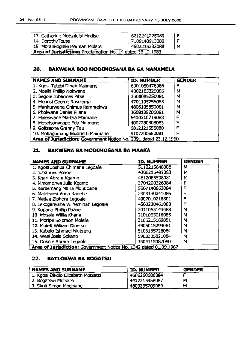| 13. Catherine Motshidisi Modise                            | 6212241225080 | , F |
|------------------------------------------------------------|---------------|-----|
| 14. DorothyToute                                           | 7109140913080 |     |
| 15. Morankogiele Herman Molatsi                            | 4602215333088 | M   |
| Area of Jurisdiction: Proclamation No. 14 dated 30.12.1983 |               |     |

#### 20. BAKWENA BOO MODIMOSANA SA GA MANAMELA

| <b>NAMES AND SURNAME</b>                                          | <b>ID. NUMBER</b> | <b>GENDER</b> |
|-------------------------------------------------------------------|-------------------|---------------|
| 1. Kgosi Tetebi Dinah Maimane                                     | 6001050476086     | F             |
| 2. Mosiki Phillip Nokwane                                         | 4002185329085     | м             |
| 3. Segole Johannes Pitse                                          | 3508085250081     | м             |
| 4. Monosi George Raseloma                                         | 4701105755085     | М             |
| 5. Mankurwane Onimus Rammekwa                                     | 4806105850081     | м             |
| 6. Pholwane Daniel Pilane                                         | 3608135206081     | М             |
| 7. Maleswane Martha Maimane                                       | 6410310719088     | F             |
| 8. Mosetsanagape Eda Maimane                                      | 4002280308083     | F             |
| 9. Goitseone Granny Tau                                           | 6812121556080     |               |
| 10. Motlagomang Elizabeth Maimane                                 | 5107200650081     | F             |
| Area of Jurisdiction: Government Notice No. 2091 dated 23.12.1960 |                   |               |

#### 21. BAKWENA BA MODIMOSANA BA MAAKA

| <b>NAMES AND SURNAME</b>                                          | <b>ID, NUMBER</b> | <b>GENDER</b> |
|-------------------------------------------------------------------|-------------------|---------------|
| 1. Kgosi Joshua Chimane Legoale                                   | 5112215648088     | м             |
| 2. Johannes Poane                                                 | 4306215481083     | М             |
| 3. Kgari Abram Kgame                                              | 4612085508081     | M             |
| 4. Mmamorwa Julia Kgame                                           | 3704200326084     | F             |
| 5. Kereemang Maria Moutioane                                      | 5507140863084     | F             |
| 6. Maletsatsi Anna Radebe                                         | 2909130241086     | F             |
| 7. Metiae Ziphora Legoale                                         | 4907010218801     | F             |
| 8. Lekoganyane Wilheminah Legoale                                 | 4503230461088     | F             |
| 9. Kopano Phillip Poane                                           | 2011065143088     | M             |
| 10. Mosala Willia Khane                                           | 2101065016085     | M             |
| 11. Moripe Solomon Molefe                                         | 3105215169081     | М             |
| 12. Molefi William Dibetso                                        | 4905015294081     | М             |
| 13. Kabelo Ishmael Nkitseng                                       | 5103135728084     | М             |
| 14. Wesi Josia Sekano                                             | 5903305821084     | M             |
| 15. Dokole Abram Legaole                                          | 3504115087080     | м             |
| Area of Jurisdiction: Government Notice No. 1342 dated 01.09.1967 |                   |               |

## 22. BATLOKWA SA BOGATSU

| <b>NAMES AND SURNAME</b>           | <b>ID. NUMBER</b> | <b>GENDER</b> |
|------------------------------------|-------------------|---------------|
| 1. Kgosi Dikolo Elizabeth Motsatsi | 4606260686084     |               |
| 2. Bogatswi Motsatsi               | 4412215458087     | М             |
| 3. Skoti Simon Modisane            | 4803235709089     | M             |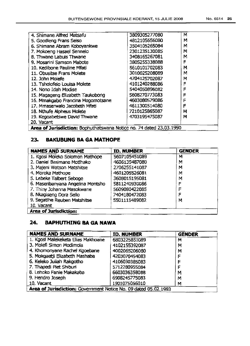| 4. Shimane Alfred Matsafu                                           | 3809305277080 | M |
|---------------------------------------------------------------------|---------------|---|
| 5. Goodleng Frans Seiso                                             | 4812105656080 | м |
| 6. Shimane Abram Koboyankwe                                         | 3504105265084 | M |
| 7. Mokoeng Hasael Sennelo                                           | 2301235130085 | м |
| 8. Thwane Labuis Thwane                                             | 3408165267081 | M |
| 9. Mosarini Samson Mabote                                           | 3805255338088 | F |
| 10. Kedibone Pauline Mfati                                          | 5610101702083 | м |
| 11. Obusitse Frans Molete                                           | 3010025208089 | м |
| 12. John Moiefe                                                     | 4704125702087 | M |
| 13. Tsholofelo Louisa Molete                                        | 4101240288086 | F |
| 14. Nono Idah Modise                                                | 5404050896082 | F |
| 15. Magageng Elizabeth Taukobong                                    | 5608270773083 | F |
| 16. Mmakgabo Francina Mogomotsane                                   | 4603080579086 |   |
| 17. Mmaserwalo Jacobeth Mfati                                       | 4611300514080 |   |
| 18. Nthufe Alpheus Molete                                           | 7210125865087 | м |
| 19. Kegoabetswe David Thwane                                        | 4703195475087 | м |
| 20. Vacant                                                          |               |   |
| Area of Jurisdiction: Bophuthatswana Notice no. 74 dated 23.03.1990 |               |   |

## **23. BAKUBUNG BA GA** MATHOPE

| <b>NAMES AND SURNAME</b>          | <b>ID. NUMBER</b> | <b>GENDER</b> |
|-----------------------------------|-------------------|---------------|
| 1. Kgosi Moleko Solomon Mathope   | 5607105451089     | м             |
| 2. Daniel Basimane Motlhako       | 4606135487080     | M             |
| 3. Majeni Watson Matshitse        | 2706255141087     | м             |
| 4. Moroka Mathope                 | 4601205526081     | М             |
| 5. Lebeke Talbert Seboge          | 3608015195081     | M             |
| 6. Maseribanyana Angelina Montsho | 5811240930086     | F             |
| 7. Thiny Johanna Masokwane        | 5609080422085     | F             |
| 8. Nkagiseng Dora Sello           | 7404180472083     | ᄃ             |
| 9. Segatihe Reuben Matshitse      | 5501115489082     | м             |
| 10. Vacant                        |                   |               |
| Area of Jurisdiction:             |                   |               |

## **24. BAPHUTHING BA GA NAWA**

| <b>NAMES AND SURNAME</b>                                        | <b>ID. NUMBER</b> | <b>GENDER</b> |
|-----------------------------------------------------------------|-------------------|---------------|
| 1. Kgosl Malekeketa Elias Makhoane                              | 6803225851089     | M             |
| 3. Molefi Simon Modimola                                        | 4102155392087     | M             |
| 4. Khomonyane Rachel Kgoebane                                   | 4002065206080     | м             |
| 5. Mokgaetji Elizabeth Mashaba                                  | 4203070454083     | F             |
| 6. Keleko Juliah Rakgotho                                       | 4106030385083     | F             |
| 7. Thapedi Plet Shiburi                                         | 5712280955084     |               |
| 8. Lehoko Fanie Makakaba                                        | 6603036358088     | м             |
| 9. Hendro Joseph                                                | 6908245775083     | м             |
| 10. Vacant                                                      | 1901075056010     | м             |
| Area of Jurisdiction: Government Notice No. 09 dated 05.02.1993 |                   |               |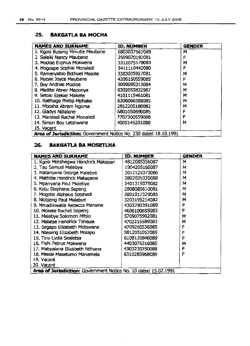#### 25~ BAKGATLA SA MOCHA

| <b>NAMES AND SURNAME</b>                                         | <b>ID. NUMBER</b> | <b>GENDER</b> |
|------------------------------------------------------------------|-------------------|---------------|
| 1. Kgosi Busang Mmutle Maubane                                   | 6803037567089     | м             |
| 2. Seleiki Nancy Maubane                                         | 2509070192081     | F             |
| 3. Modise Eliphus Mokwena                                        | 3312075178083     | м             |
| 4. Mogoape Sophie Monaledi                                       | 3411110442080     | F             |
| 5. Ramenyatso Bethuel Masote                                     | 3303035927081     | M             |
| 6. Matsie Joyce Maubane                                          | 4206150559085     | F             |
| 7. Boy Andries Modise                                            | 3009095313084     | м             |
| 8. Maditsi Abner Maponya                                         | 6302055832987     | м             |
| 9. Setoki Ezekiel Makete                                         | 4101115461081     | М             |
| 10. Ratthage Phillip Mphake                                      | 6306066588085     | м             |
| 11. Mbosha Abram Ngoma                                           | 2812205180082     | м             |
| 12. Gladys Ndialane                                              | 6801050690085     | F             |
| 13. Mareledi Rachel Monaledi                                     | 7707300559088     | F             |
| 14. Simon Boy Letshwene                                          | 4005145201088     | м             |
| 15. Vacant                                                       |                   |               |
| Area of Jurisdiction: Government Notice No. 230 dated 18.10.1991 |                   |               |

## 26. BAKGATLA BA MOSETLHA

| <b>NAMES AND SURNAME</b>                                        | ID. NUMBER    | <b>GENDER</b> |
|-----------------------------------------------------------------|---------------|---------------|
| 1. Kgosi Motshegwa Hendrick Makapan                             | 4812085356087 | M             |
| 2. Tau Samuel Malebye                                           | 1904205166087 | м             |
| 3. Matanyane George Malebye                                     | 3012125373086 | м             |
| 4. Mathibe Hendrick Makapane                                    | 3802035335088 | M             |
| 5. Mpanyana Paul Malebye                                        | 3401315075082 | м             |
| 6. Kotu Stephens Sepeng                                         | 2808085610081 | м             |
| 7. Mogotsi Alpheus Setshedi                                     | 3801017329085 | м             |
| 8. Nkitseng Paul Malebye                                        | 3203195214082 | м             |
| 9. Mmadikwatla Rebecca Mareme                                   | 4303290391089 | F             |
| 10. Mokete Rachel Sepeng                                        | 4606100655083 | F             |
| 11. Malebye Solomon Mfolo                                       | 5709075902081 | м             |
| 12. Malatse Hendrick Tsheule                                    | 4702215589083 | M             |
| 13. Segapo Elizabeth Motswane                                   | 4709250536085 | F             |
| 14. Nteseng Elizabeth Molapo                                    | 5812051052085 | F             |
| 15. Tiny Lydia Sealetsa                                         | 6108120846089 | F             |
| 16. Fishi Petrus Mokwena                                        | 4403075316085 | M             |
| 17. Mabyalana Elizabeth Ntlhane                                 | 4303230350088 | F             |
| 18. Meisie Masetumo Manamela                                    | 6310280968089 | F             |
| 19. Vacant                                                      |               |               |
| 20. Vacant                                                      |               |               |
| Area of Jurisdiction: Government Notice No. 10 dated 15.02.1991 |               |               |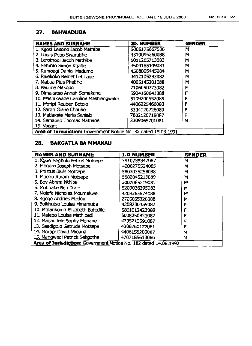#### **27. BAHWADUBA**

| <b>NAMES AND SURNAME</b>                                        | <b>ID. NUMBER</b> | <b>GENDER</b> |
|-----------------------------------------------------------------|-------------------|---------------|
| 1. Kgosi Lepono Jacob Mathibe                                   | 5006175667086     | M             |
| 2. Lucas Popo Swaratihe                                         | 4310095260088     | М             |
| 3. Lerothodi Jacob Mathibe                                      | 5011265713083     | M             |
| 4. Setumo Simon Kgatle                                          | 3504185149083     | M             |
| 5. Ramoagi Daniel Madumo                                        | 4508095445084     | M             |
| 6. Ralekoko Reinet Letihage                                     | 4412105283082     | M             |
| 7. Mabua Pius Phetihe                                           | 4005145201088     | М             |
| 8. Pauline Makopo                                               | 7106050773082     | F             |
| 9, Dimakatso Annah Semakane                                     | 5904160641088     | F             |
| 10. Mashikwane Caroline Mashiangwako                            | 5109200552085     | F             |
| 11. Moripi Reuben Botolo                                        | 4406225466080     | F             |
| 12. Sarah Giane Chauke                                          | 5304120726089     | F             |
| 13. Matlakala Maria Sehlabi                                     | 7802120718087     | F             |
| 14. Semauso Thomas Mathabe                                      | 3309065201081     | м             |
| 15. Vacant                                                      |                   |               |
| Area of Jurisdiction: Government Notice No. 32 dated 15.03.1991 |                   |               |

## **28. BAKGATLA BA MMAKAU**

| <b>NAMES AND SURNAME</b>                                         | <b>I.D NUMBER</b> | <b>GENDER</b> |
|------------------------------------------------------------------|-------------------|---------------|
| 1. Kgosi Sepholo Petrus Motsepe                                  | 3910255347087     | м             |
| 2. Mogoro Joseph Motsepe                                         | 4208275524085     | м             |
| 3. Phistus Baile Motsepe                                         | 5803035258088     | M             |
| 4. Mpono Abram Motsepe                                           | 5502045213089     | м             |
| 5. Boy Abram Nthite                                              | 3007065319081     | м             |
| 6. Motihabe Ben Diale                                            | 5203036295082     | M             |
| 7. Molefe Nicholas Moumakwe                                      | 4208285574088     | M             |
| 8. Kgogo Andries Matlou                                          | 2705055326088     | м             |
| 9. Boikhutso Louisa Mmamutla                                     | 4208280459087     | F             |
| 10. Mmankoma Elizabeth Bafedile                                  | 5801012423089     |               |
| 11. Malebo Louisa Mathibedi                                      | 5005250831082     |               |
| 12. Magadifele Sophy Mohane                                      | 4705210591087     |               |
| 13. Saadigolo Getrude Motsepe                                    | 4306260177081     | F             |
| 14. Morapi David Nkoana                                          | 4406155200087     | м             |
| 15. Mangwedi Patrick Sekgothe                                    | 4707185613086     | м             |
| Area of Jurisdiction: Government Notice No. 182 dated 14.08.1992 |                   |               |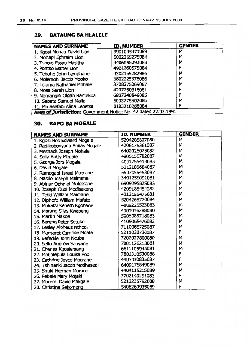#### **29. BATAUNG SA HLALELE**

| <b>NAMES AND SURNAME</b>                                        | ID. NUMBER    | <b>GENDER</b> |  |
|-----------------------------------------------------------------|---------------|---------------|--|
| 1. Kgosi Mohau David Lion                                       | 3901045471089 | M             |  |
| 2. Mohapi Ephraim Lion                                          | 5002255275084 | M             |  |
| 3. Tsholo Essau Masitha                                         | 4406055293083 | м             |  |
| 4. Pontso Esther Lion                                           | 4901260575084 | F             |  |
| 5. Teboho John Lemphane                                         | 4302155282986 | м             |  |
| 6. Molemohi Jacob Mooko                                         | 5802225378086 | M             |  |
| 7. Leiuma Nathaniel Mohale                                      | 3708275269087 | м             |  |
| 8. Mosa Sarah Lion                                              | 4207260318081 | F             |  |
| 9. Nomangisi Olgah Rantekoa                                     | 6807240849085 | F             |  |
| 10. Sabata Samuel Malia                                         | 5003275502085 | м             |  |
| 11. Mmasefadi Alina Lebetsa                                     | 8103210288084 | F             |  |
| Area of Jurisdiction: Government Notice No. 42 dated 22.03.1991 |               |               |  |

## **30. RAPO SA MOGALE**

| <b>NAMES AND SURNAME</b>       | <b>ID. NUMBER</b> | <b>GENDER</b> |
|--------------------------------|-------------------|---------------|
| 1. Kgosi Bob Edward Mogale     | 5204285807080     | M             |
| 2. Radikobonyana Emias Mogale  | 4206175361087     | M             |
| 3. Meshack Joseph Mohale       | 6402026025082     | M             |
| 4. Solly Butty Mogale          | 4805155782087     | M             |
| 5. George Jors Mogale          | 4001255418083     | M             |
| 6. David Mogale                | 5212185684087     | M             |
| 7. Ramogapi Israel Moerane     | 5507055453087     | M             |
| 8. Masilo Joseph Maimane       | 3401255091081     | м             |
| 9. Abinar Ophniel Molotsane    | 6909295825083     | M             |
| 10. Joseph Oudi Modisakeng     | 4209185454082     | M             |
| 11. Toiki William Maimane      | 4012155475081     | M             |
| 12. Diphofo William Mafate     | 5204265770084     | M             |
| 13. Mokatsi Keneth Kgobane     | 4809225523083     | м             |
| 14. Marang Silas Kwapeng       | 4001016288080     | M             |
| 15. Martin Makoe               | 5905085718083     | М             |
| 16. Bereng Peter Setuke        | 4109065476082     | М             |
| 17. Lesley Alpheus Nthodi      | 7110065725087     | М             |
| 18. Margaret Caroline Moate    | 5211030730087     | F             |
| 19. Bafedile John Noube        | 7202027800080     | M             |
| 20. Sello Andrew Sanyane       | 7001126218081     | M             |
| 21. Charles Kgosiemang         | 6611105945081     | M             |
| 22. Motlalepula Louisa Poo     | 7801310530088     | F             |
| 23. Cathrine Joyce Moerane     | 4903030835087     | F             |
| 24. Tshinanki Jacob Motihasedi | 6409175849089     | м             |
| 25. Snuki Herman Morare        | 4404115215089     | M             |
| 26. Petlele Mary Mojaki        | 7702140291083     | F             |
| 27. Moremi David Makgale       | 5212235792088     | M             |
| 28. Christina Sekomeng         | 5406260935089     | F             |